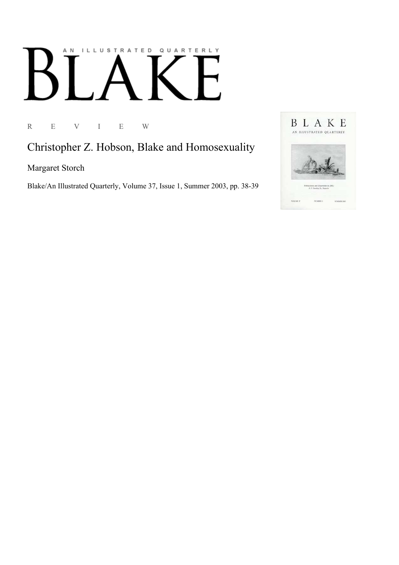## AN ILLUSTRATED QUARTERLY

R E V I E W

Christopher Z. Hobson, Blake and Homosexuality

Margaret Storch

Blake/An Illustrated Quarterly, Volume 37, Issue 1, Summer 2003, pp. 38-39

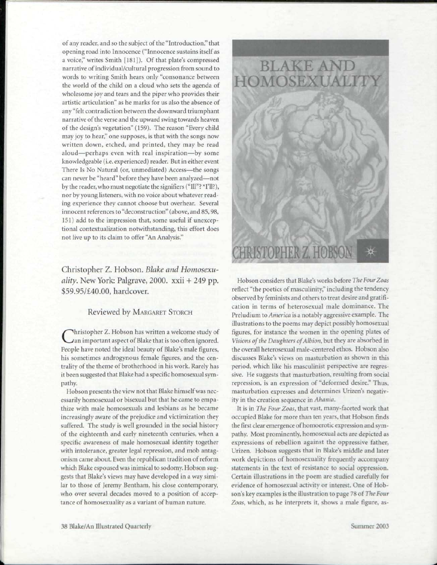of any reader, and so the subject of the "Introduction," that opening road into Innocence ("Innocence sustains itself as a voice," writes Smith [181]). Of that plate's compressed narrative of individual/cultural progression from sound to words to writing Smith hears only "consonance between the world of the child on a cloud who sets the agenda of wholesome joy and tears and the piper who provides their artistic articulation" as he marks for us also the absence of any "felt contradiction between the downward triumphant narrative of the verse and the upward swing towards heaven of the design's vegetation" (159). The reason "Every child may joy to hear," one supposes, is that with the songs now written down, etched, and printed, they may be read aloud—perhaps even with real inspiration—by some knowledgeable (i.e. experienced) reader. But in either event There Is No Natural (or, unmediated) Access—the songs can never be "heard" before they have been analyzed—not by the reader, who must negotiate the signifiers ("111"? \*I'll?), nor by young listeners, with no voice about whatever reading experience they cannot choose but overhear. Several innocent references to "deconstruction" (above, and 85,98, 151) add to the impression that, some useful if unexceptional contextualization notwithstanding, this effort does not live up to its claim to offer "An Analysis."

## Christopher Z. Hobson. *Blake and Homosexuality.* New York: Palgrave, 2000. xxii + 249 pp. \$59.95/£40.00, hardcover.

## Reviewed by MARGARET STORCH

Christopher Z. Hobson has written a welcome study of<br>Can important aspect of Blake that is too often ignored.<br>People have noted the ideal beauty of Blake's male figures, hristopher Z. Hobson has written a welcome study of an important aspect of Blake that is too often ignored. his sometimes androgynous female figures, and the centrality of the theme of brotherhood in his work. Rarely has it been suggested that Blake had a specific homosexual sympathy.

Hobson presents the view not that Blake himself was necessarily homosexual or bisexual but that he came to empathize with male homosexuals and lesbians as he became increasingly aware of the prejudice and victimization they suffered. The study is well grounded in the social history of the eighteenth and early nineteenth centuries, when a specific awareness of male homosexual identity together with intolerance, greater legal repression, and mob antagonism came about. Even the republican tradition of reform which Blake espoused was inimical to sodomy. Hobson suggests that Blake's views may have developed in a way similar to those of Jeremy Bentham, his close contemporary, who over several decades moved to a position of acceptance of homosexuality as a variant of human nature.



Hobson considers that Blake's works before *Vie Four Zoas*  reflect "the poetics of masculinity," including the tendency observed by feminists and others to treat desire and gratification in terms of heterosexual male dominance. The Prcludium to *America* is a notably aggressive example. The illustrations to the poems may depict possibly homosexual figures, for instance the women in the opening plates of *Visions of the Daughters of Albion*, but they are absorbed in the overall heterosexual male-centered ethos. Hobson also discusses Blake's views on masturbation as shown in this period, which like his masculinist perspective are regressive. He suggests that masturbation, resulting from social repression, is an expression of "deformed desire." Thus, masturbation expresses and determines Urizen's negativity in the creation sequence in *Ahouio.* 

It is in *The Four Zoas,* that vast, many-faceted work that occupied Blake for more than ten years, that Hobson finds the first clear emergence of homoerotic expression and sympathy. Most prominently, homosexual acts are depicted as expressions of rebellion against the oppressive father, Urizen. Hobson suggests that in Blake's middle and later work depictions of homosexuality frequently accompany statements in the text of resistance to social oppression. Certain illustrations in the poem are studied carefully for evidence of homosexual activity *or* interest. One of Hobson's key examples is the illustration to page 78 of *The Four Zoos,* which, as he interprets it, shows a male figure, as